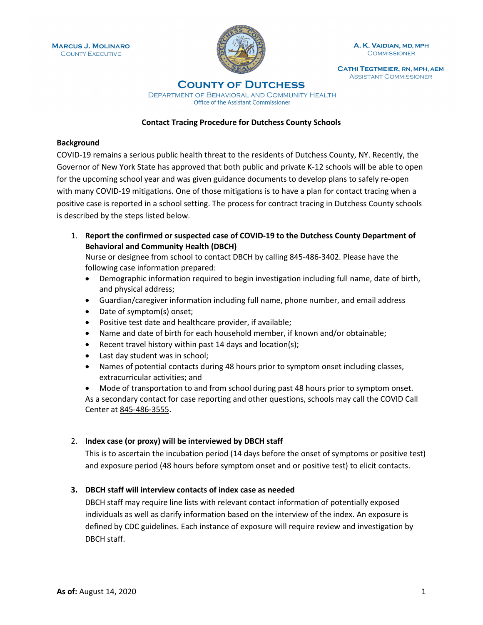

A. K. VAIDIAN, MD, MPH **COMMISSIONER** 

**CATHI TEGTMEIER, RN, MPH, AEM ASSISTANT COMMISSIONER** 

# **COUNTY OF DUTCHESS**

DEPARTMENT OF BEHAVIORAL AND COMMUNITY HEALTH Office of the Assistant Commissioner

### **Contact Tracing Procedure for Dutchess County Schools**

## **Background**

COVID-19 remains a serious public health threat to the residents of Dutchess County, NY. Recently, the Governor of New York State has approved that both public and private K-12 schools will be able to open for the upcoming school year and was given guidance documents to develop plans to safely re-open with many COVID-19 mitigations. One of those mitigations is to have a plan for contact tracing when a positive case is reported in a school setting. The process for contract tracing in Dutchess County schools is described by the steps listed below.

1. **Report the confirmed or suspected case of COVID-19 to the Dutchess County Department of Behavioral and Community Health (DBCH)**

Nurse or designee from school to contact DBCH by calling 845-486-3402. Please have the following case information prepared:

- Demographic information required to begin investigation including full name, date of birth, and physical address;
- Guardian/caregiver information including full name, phone number, and email address
- Date of symptom(s) onset;
- Positive test date and healthcare provider, if available;
- Name and date of birth for each household member, if known and/or obtainable;
- Recent travel history within past 14 days and location(s);
- Last day student was in school;
- Names of potential contacts during 48 hours prior to symptom onset including classes, extracurricular activities; and

• Mode of transportation to and from school during past 48 hours prior to symptom onset. As a secondary contact for case reporting and other questions, schools may call the COVID Call Center at 845-486-3555.

### 2. **Index case (or proxy) will be interviewed by DBCH staff**

This is to ascertain the incubation period (14 days before the onset of symptoms or positive test) and exposure period (48 hours before symptom onset and or positive test) to elicit contacts.

### **3. DBCH staff will interview contacts of index case as needed**

DBCH staff may require line lists with relevant contact information of potentially exposed individuals as well as clarify information based on the interview of the index. An exposure is defined by CDC guidelines. Each instance of exposure will require review and investigation by DBCH staff.